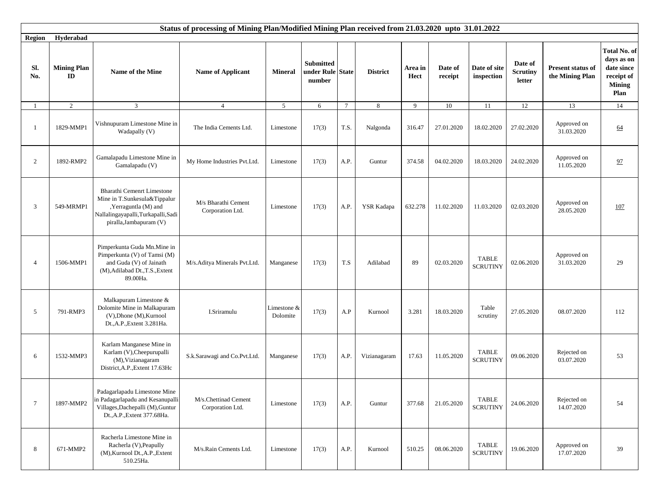|                 |                                     |                                                                                                                                                      | Status of processing of Mining Plan/Modified Mining Plan received from 21.03.2020 upto 31.01.2022 |                         |                                                |                         |                 |                 |                    |                                 |                                      |                                      |                                                                                        |
|-----------------|-------------------------------------|------------------------------------------------------------------------------------------------------------------------------------------------------|---------------------------------------------------------------------------------------------------|-------------------------|------------------------------------------------|-------------------------|-----------------|-----------------|--------------------|---------------------------------|--------------------------------------|--------------------------------------|----------------------------------------------------------------------------------------|
| <b>Region</b>   | Hyderabad                           |                                                                                                                                                      |                                                                                                   |                         |                                                |                         |                 |                 |                    |                                 |                                      |                                      |                                                                                        |
| Sl.<br>No.      | <b>Mining Plan</b><br>$\mathbf{ID}$ | Name of the Mine                                                                                                                                     | <b>Name of Applicant</b>                                                                          | <b>Mineral</b>          | <b>Submitted</b><br>under Rule State<br>number |                         | <b>District</b> | Area in<br>Hect | Date of<br>receipt | Date of site<br>inspection      | Date of<br><b>Scrutiny</b><br>letter | Present status of<br>the Mining Plan | <b>Total No. of</b><br>days as on<br>date since<br>receipt of<br><b>Mining</b><br>Plan |
| -1              | $\overline{2}$                      | 3                                                                                                                                                    | $\overline{4}$                                                                                    | 5 <sup>5</sup>          | 6                                              | $7\phantom{.0}$         | 8               | 9               | 10                 | 11                              | 12                                   | 13                                   | 14                                                                                     |
| -1              | 1829-MMP1                           | Vishnupuram Limestone Mine in<br>Wadapally (V)                                                                                                       | The India Cements Ltd.                                                                            | Limestone               | 17(3)                                          | T.S.                    | Nalgonda        | 316.47          | 27.01.2020         | 18.02.2020                      | 27.02.2020                           | Approved on<br>31.03.2020            | 64                                                                                     |
| $\overline{2}$  | 1892-RMP2                           | Gamalapadu Limestone Mine in<br>Gamalapadu (V)                                                                                                       | My Home Industries Pvt.Ltd.                                                                       | Limestone               | 17(3)                                          | A.P.                    | Guntur          | 374.58          | 04.02.2020         | 18.03.2020                      | 24.02.2020                           | Approved on<br>11.05.2020            | 97                                                                                     |
| 3               | 549-MRMP1                           | Bharathi Cemenrt Limestone<br>Mine in T.Sunkesula&Tippalur<br>,Yerraguntla (M) and<br>Nallalingayapalli, Turkapalli, Sadi<br>piralla, Jambapuram (V) | M/s Bharathi Cement<br>Corporation Ltd.                                                           | Limestone               | 17(3)                                          | A.P.                    | YSR Kadapa      | 632.278         | 11.02.2020         | 11.03.2020                      | 02.03.2020                           | Approved on<br>28.05.2020            | 107                                                                                    |
| $\overline{4}$  | 1506-MMP1                           | Pimperkunta Guda Mn.Mine in<br>Pimperkunta (V) of Tamsi (M)<br>and Guda (V) of Jainath<br>(M), Adilabad Dt., T.S., Extent<br>89.00Ha.                | M/s.Aditya Minerals Pvt.Ltd.                                                                      | Manganese               | 17(3)                                          | $\mathrm{T}.\mathrm{S}$ | Adilabad        | 89              | 02.03.2020         | <b>TABLE</b><br><b>SCRUTINY</b> | 02.06.2020                           | Approved on<br>31.03.2020            | 29                                                                                     |
| 5               | 791-RMP3                            | Malkapuram Limestone &<br>Dolomite Mine in Malkapuram<br>$(V)$ , Dhone $(M)$ , Kurnool<br>Dt., A.P., Extent 3.281Ha.                                 | I.Sriramulu                                                                                       | Limestone &<br>Dolomite | 17(3)                                          | A.P                     | Kurnool         | 3.281           | 18.03.2020         | Table<br>scrutiny               | 27.05.2020                           | 08.07.2020                           | 112                                                                                    |
| 6               | 1532-MMP3                           | Karlam Manganese Mine in<br>Karlam (V), Cheepurupalli<br>(M), Vizianagaram<br>District, A.P., Extent 17.63Hc                                         | S.k.Sarawagi and Co.Pvt.Ltd.                                                                      | Manganese               | 17(3)                                          | A.P.                    | Vizianagaram    | 17.63           | 11.05.2020         | <b>TABLE</b><br><b>SCRUTINY</b> | 09.06.2020                           | Rejected on<br>03.07.2020            | 53                                                                                     |
| $7\phantom{.0}$ | 1897-MMP2                           | Padagarlapadu Limestone Mine<br>in Padagarlapadu and Kesanupalli<br>Villages, Dachepalli (M), Guntur<br>Dt., A.P., Extent 377.68Ha.                  | M/s.Chettinad Cement<br>Corporation Ltd.                                                          | Limestone               | 17(3)                                          | A.P.                    | Guntur          | 377.68          | 21.05.2020         | <b>TABLE</b><br><b>SCRUTINY</b> | 24.06.2020                           | Rejected on<br>14.07.2020            | 54                                                                                     |
| 8               | 671-MMP2                            | Racherla Limestone Mine in<br>Racherla (V), Peapully<br>(M), Kurnool Dt., A.P., Extent<br>510.25Ha.                                                  | M/s.Rain Cements Ltd.                                                                             | Limestone               | 17(3)                                          | A.P.                    | Kurnool         | 510.25          | 08.06.2020         | <b>TABLE</b><br><b>SCRUTINY</b> | 19.06.2020                           | Approved on<br>17.07.2020            | 39                                                                                     |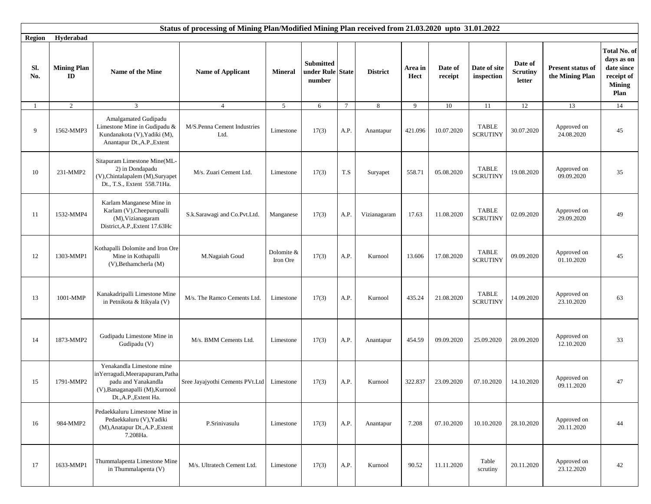|                             | Status of processing of Mining Plan/Modified Mining Plan received from 21.03.2020 upto 31.01.2022<br>Hyderabad |                                                                                                                                                |                                     |                        |                                                |                 |                 |                 |                    |                                 |                                      |                                             |                                                                                        |
|-----------------------------|----------------------------------------------------------------------------------------------------------------|------------------------------------------------------------------------------------------------------------------------------------------------|-------------------------------------|------------------------|------------------------------------------------|-----------------|-----------------|-----------------|--------------------|---------------------------------|--------------------------------------|---------------------------------------------|----------------------------------------------------------------------------------------|
| <b>Region</b><br>Sl.<br>No. | <b>Mining Plan</b><br>ID                                                                                       | Name of the Mine                                                                                                                               | <b>Name of Applicant</b>            | <b>Mineral</b>         | <b>Submitted</b><br>under Rule State<br>number |                 | <b>District</b> | Area in<br>Hect | Date of<br>receipt | Date of site<br>inspection      | Date of<br><b>Scrutiny</b><br>letter | <b>Present status of</b><br>the Mining Plan | <b>Total No. of</b><br>days as on<br>date since<br>receipt of<br><b>Mining</b><br>Plan |
| -1                          | $\overline{2}$                                                                                                 | 3                                                                                                                                              | $\overline{4}$                      | 5                      | 6                                              | $7\phantom{.0}$ | 8               | 9               | 10                 | 11                              | 12                                   | 13                                          | 14                                                                                     |
| 9                           | 1562-MMP3                                                                                                      | Amalgamated Gudipadu<br>Limestone Mine in Gudipadu $\&$<br>Kundanakota (V), Yadiki (M),<br>Anantapur Dt., A.P., Extent                         | M/S.Penna Cement Industries<br>Ltd. | Limestone              | 17(3)                                          | A.P.            | Anantapur       | 421.096         | 10.07.2020         | <b>TABLE</b><br><b>SCRUTINY</b> | 30.07.2020                           | Approved on<br>24.08.2020                   | 45                                                                                     |
| 10                          | 231-MMP2                                                                                                       | Sitapuram Limestone Mine(ML-<br>2) in Dondapadu<br>(V), Chintalapalem (M), Suryapet<br>Dt., T.S., Extent 558.71Ha.                             | M/s. Zuari Cement Ltd.              | Limestone              | 17(3)                                          | T.S             | Suryapet        | 558.71          | 05.08.2020         | <b>TABLE</b><br><b>SCRUTINY</b> | 19.08.2020                           | Approved on<br>09.09.2020                   | 35                                                                                     |
| 11                          | 1532-MMP4                                                                                                      | Karlam Manganese Mine in<br>Karlam (V), Cheepurupalli<br>(M), Vizianagaram<br>District, A.P., Extent 17.63Hc                                   | S.k.Sarawagi and Co.Pvt.Ltd.        | Manganese              | 17(3)                                          | A.P.            | Vizianagaram    | 17.63           | 11.08.2020         | <b>TABLE</b><br><b>SCRUTINY</b> | 02.09.2020                           | Approved on<br>29.09.2020                   | 49                                                                                     |
| 12                          | 1303-MMP1                                                                                                      | Kothapalli Dolomite and Iron Ore<br>Mine in Kothapalli<br>(V), Bethamcherla (M)                                                                | M.Nagaiah Goud                      | Dolomite &<br>Iron Ore | 17(3)                                          | A.P.            | Kurnool         | 13.606          | 17.08.2020         | <b>TABLE</b><br><b>SCRUTINY</b> | 09.09.2020                           | Approved on<br>01.10.2020                   | 45                                                                                     |
| 13                          | 1001-MMP                                                                                                       | Kanakadripalli Limestone Mine<br>in Petnikota & Itikyala (V)                                                                                   | M/s. The Ramco Cements Ltd.         | Limestone              | 17(3)                                          | A.P.            | Kurnool         | 435.24          | 21.08.2020         | <b>TABLE</b><br><b>SCRUTINY</b> | 14.09.2020                           | Approved on<br>23.10.2020                   | 63                                                                                     |
| 14                          | 1873-MMP2                                                                                                      | Gudipadu Limestone Mine in<br>Gudipadu (V)                                                                                                     | M/s. BMM Cements Ltd.               | Limestone              | 17(3)                                          | A.P.            | Anantapur       | 454.59          | 09.09.2020         | 25.09.2020                      | 28.09.2020                           | Approved on<br>12.10.2020                   | 33                                                                                     |
| 15                          | 1791-MMP2                                                                                                      | Yenakandla Limestone mine<br>inYerragudi,Meerapapuram,Patha<br>padu and Yanakandla<br>(V), Banaganapalli (M), Kurnool<br>Dt., A.P., Extent Ha. | Sree Jayajyothi Cements PVt.Ltd     | Limestone              | 17(3)                                          | A.P.            | Kurnool         | 322.837         | 23.09.2020         | 07.10.2020                      | 14.10.2020                           | Approved on<br>09.11.2020                   | 47                                                                                     |
| 16                          | 984-MMP2                                                                                                       | Pedaekkaluru Limestone Mine in<br>Pedaekkaluru (V), Yadiki<br>(M), Anatapur Dt., A.P., Extent<br>7.208Ha.                                      | P.Srinivasulu                       | Limestone              | 17(3)                                          | A.P.            | Anantapur       | 7.208           | 07.10.2020         | 10.10.2020                      | 28.10.2020                           | Approved on<br>20.11.2020                   | 44                                                                                     |
| 17                          | 1633-MMP1                                                                                                      | Thummalapenta Limestone Mine<br>in Thummalapenta (V)                                                                                           | M/s. Ultratech Cement Ltd.          | Limestone              | 17(3)                                          | A.P.            | Kurnool         | 90.52           | 11.11.2020         | Table<br>scrutiny               | 20.11.2020                           | Approved on<br>23.12.2020                   | 42                                                                                     |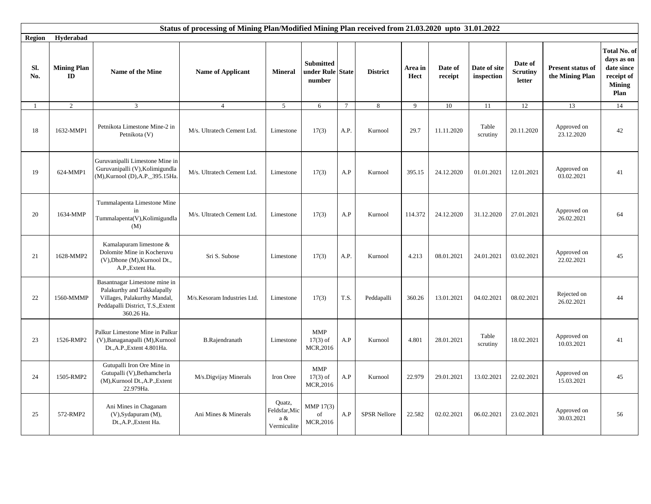|                |                                     |                                                                                                                                                 | Status of processing of Mining Plan/Modified Mining Plan received from 21.03.2020 upto 31.01.2022 |                                               |                                                |                |                     |                 |                    |                            |                                      |                                      |                                                                                 |
|----------------|-------------------------------------|-------------------------------------------------------------------------------------------------------------------------------------------------|---------------------------------------------------------------------------------------------------|-----------------------------------------------|------------------------------------------------|----------------|---------------------|-----------------|--------------------|----------------------------|--------------------------------------|--------------------------------------|---------------------------------------------------------------------------------|
| <b>Region</b>  | Hyderabad                           |                                                                                                                                                 |                                                                                                   |                                               |                                                |                |                     |                 |                    |                            |                                      |                                      |                                                                                 |
| Sl.<br>No.     | <b>Mining Plan</b><br>$\mathbf{ID}$ | Name of the Mine                                                                                                                                | <b>Name of Applicant</b>                                                                          | <b>Mineral</b>                                | <b>Submitted</b><br>under Rule State<br>number |                | <b>District</b>     | Area in<br>Hect | Date of<br>receipt | Date of site<br>inspection | Date of<br><b>Scrutiny</b><br>letter | Present status of<br>the Mining Plan | Total No. of<br>days as on<br>date since<br>receipt of<br><b>Mining</b><br>Plan |
| $\overline{1}$ | $\overline{2}$                      | $\mathfrak{Z}$                                                                                                                                  | $\overline{4}$                                                                                    | 5                                             | 6                                              | $\overline{7}$ | 8                   | $\mathbf{Q}$    | 10                 | 11                         | 12                                   | 13                                   | 14                                                                              |
| 18             | 1632-MMP1                           | Petnikota Limestone Mine-2 in<br>Petnikota (V)                                                                                                  | M/s. Ultratech Cement Ltd.                                                                        | Limestone                                     | 17(3)                                          | A.P.           | Kurnool             | 29.7            | 11.11.2020         | Table<br>scrutiny          | 20.11.2020                           | Approved on<br>23.12.2020            | 42                                                                              |
| 19             | 624-MMP1                            | Guruvanipalli Limestone Mine in<br>Guruvanipalli (V), Kolimigundla<br>(M), Kurnool (D), A.P. 395.15Ha.                                          | M/s. Ultratech Cement Ltd.                                                                        | Limestone                                     | 17(3)                                          | A.P            | Kurnool             | 395.15          | 24.12.2020         | 01.01.2021                 | 12.01.2021                           | Approved on<br>03.02.2021            | 41                                                                              |
| 20             | 1634-MMP                            | Tummalapenta Limestone Mine<br>in<br>Tummalapenta(V), Kolimigundla<br>(M)                                                                       | M/s. Ultratech Cement Ltd.                                                                        | Limestone                                     | 17(3)                                          | A.P            | Kurnool             | 114.372         | 24.12.2020         | 31.12.2020                 | 27.01.2021                           | Approved on<br>26.02.2021            | 64                                                                              |
| 21             | 1628-MMP2                           | Kamalapuram limestone &<br>Dolomite Mine in Kocheruvu<br>(V), Dhone (M), Kurnool Dt.,<br>A.P., Extent Ha.                                       | Sri S. Subose                                                                                     | Limestone                                     | 17(3)                                          | A.P.           | Kurnool             | 4.213           | 08.01.2021         | 24.01.2021                 | 03.02.2021                           | Approved on<br>22.02.2021            | 45                                                                              |
| 22             | 1560-MMMP                           | Basantnagar Limestone mine in<br>Palakurthy and Takkalapally<br>Villages, Palakurthy Mandal,<br>Peddapalli District, T.S., Extent<br>360.26 Ha. | M/s.Kesoram Industries Ltd.                                                                       | Limestone                                     | 17(3)                                          | T.S.           | Peddapalli          | 360.26          | 13.01.2021         | 04.02.2021                 | 08.02.2021                           | Rejected on<br>26.02.2021            | 44                                                                              |
| 23             | 1526-RMP2                           | Palkur Limestone Mine in Palkur<br>(V), Banaganapalli (M), Kurnool<br>Dt., A.P., Extent 4.801Ha.                                                | <b>B.Rajendranath</b>                                                                             | Limestone                                     | <b>MMP</b><br>$17(3)$ of<br>MCR,2016           | A.P            | Kurnool             | 4.801           | 28.01.2021         | Table<br>scrutiny          | 18.02.2021                           | Approved on<br>10.03.2021            | 41                                                                              |
| 24             | 1505-RMP2                           | Gutupalli Iron Ore Mine in<br>Gutupalli (V), Bethamcherla<br>(M), Kurnool Dt., A.P., Extent<br>22.979Ha.                                        | M/s.Digvijay Minerals                                                                             | Iron Oree                                     | <b>MMP</b><br>$17(3)$ of<br>MCR, 2016          | A.P            | Kurnool             | 22.979          | 29.01.2021         | 13.02.2021                 | 22.02.2021                           | Approved on<br>15.03.2021            | 45                                                                              |
| 25             | 572-RMP2                            | Ani Mines in Chaganam<br>(V), Sydapuram (M),<br>Dt., A.P., Extent Ha.                                                                           | Ani Mines & Minerals                                                                              | Quatz,<br>Feldsfar, Mic<br>a &<br>Vermiculite | MMP 17(3)<br>of<br>MCR, 2016                   | A.P            | <b>SPSR Nellore</b> | 22.582          | 02.02.2021         | 06.02.2021                 | 23.02.2021                           | Approved on<br>30.03.2021            | 56                                                                              |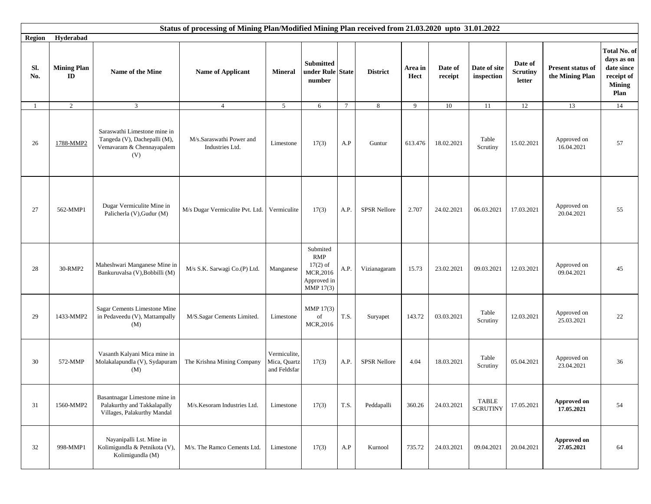|            |                          |                                                                                                  | Status of processing of Mining Plan/Modified Mining Plan received from 21.03.2020 upto 31.01.2022 |                                              |                                                                       |                 |                     |                 |                    |                                 |                                      |                                      |                                                                                 |
|------------|--------------------------|--------------------------------------------------------------------------------------------------|---------------------------------------------------------------------------------------------------|----------------------------------------------|-----------------------------------------------------------------------|-----------------|---------------------|-----------------|--------------------|---------------------------------|--------------------------------------|--------------------------------------|---------------------------------------------------------------------------------|
| Region     | Hyderabad                |                                                                                                  |                                                                                                   |                                              |                                                                       |                 |                     |                 |                    |                                 |                                      |                                      |                                                                                 |
| Sl.<br>No. | <b>Mining Plan</b><br>ID | Name of the Mine                                                                                 | <b>Name of Applicant</b>                                                                          | <b>Mineral</b>                               | <b>Submitted</b><br>under Rule State<br>number                        |                 | <b>District</b>     | Area in<br>Hect | Date of<br>receipt | Date of site<br>inspection      | Date of<br><b>Scrutiny</b><br>letter | Present status of<br>the Mining Plan | Total No. of<br>days as on<br>date since<br>receipt of<br><b>Mining</b><br>Plan |
| -1         | $\overline{2}$           | $\mathfrak{Z}$                                                                                   | $\overline{4}$                                                                                    | 5 <sup>5</sup>                               | 6                                                                     | $7\phantom{.0}$ | 8                   | 9               | $10\,$             | 11                              | 12                                   | 13                                   | 14                                                                              |
| 26         | 1788-MMP2                | Saraswathi Limestone mine in<br>Tangeda (V), Dachepalli (M),<br>Vemavaram & Chennayapalem<br>(V) | M/s.Saraswathi Power and<br>Industries Ltd.                                                       | Limestone                                    | 17(3)                                                                 | A.P             | Guntur              | 613.476         | 18.02.2021         | Table<br>Scrutiny               | 15.02.2021                           | Approved on<br>16.04.2021            | 57                                                                              |
| 27         | 562-MMP1                 | Dugar Vermiculite Mine in<br>Palicherla (V), Gudur (M)                                           | M/s Dugar Vermiculite Pvt. Ltd.   Vermiculite                                                     |                                              | 17(3)                                                                 | A.P.            | <b>SPSR Nellore</b> | 2.707           | 24.02.2021         | 06.03.2021                      | 17.03.2021                           | Approved on<br>20.04.2021            | 55                                                                              |
| 28         | 30-RMP2                  | Maheshwari Manganese Mine in<br>Bankuruvalsa (V), Bobbilli (M)                                   | M/s S.K. Sarwagi Co.(P) Ltd.                                                                      | Manganese                                    | Submited<br>RMP<br>$17(2)$ of<br>MCR,2016<br>Approved in<br>MMP 17(3) | A.P.            | Vizianagaram        | 15.73           | 23.02.2021         | 09.03.2021                      | 12.03.2021                           | Approved on<br>09.04.2021            | 45                                                                              |
| 29         | 1433-MMP2                | Sagar Cements Limestone Mine<br>in Pedaveedu (V), Mattampally<br>(M)                             | M/S.Sagar Cements Limited.                                                                        | Limestone                                    | MMP 17(3)<br>of<br>MCR,2016                                           | T.S.            | Suryapet            | 143.72          | 03.03.2021         | Table<br>Scrutiny               | 12.03.2021                           | Approved on<br>25.03.2021            | 22                                                                              |
| 30         | 572-MMP                  | Vasanth Kalyani Mica mine in<br>Molakalapundla (V), Sydapuram<br>(M)                             | The Krishna Mining Company                                                                        | Vermiculite,<br>Mica, Quartz<br>and Feldsfar | 17(3)                                                                 | A.P.            | <b>SPSR Nellore</b> | 4.04            | 18.03.2021         | Table<br>Scrutiny               | 05.04.2021                           | Approved on<br>23.04.2021            | 36                                                                              |
| 31         | 1560-MMP2                | Basantnagar Limestone mine in<br>Palakurthy and Takkalapally<br>Villages, Palakurthy Mandal      | M/s.Kesoram Industries Ltd.                                                                       | Limestone                                    | 17(3)                                                                 | T.S.            | Peddapalli          | 360.26          | 24.03.2021         | <b>TABLE</b><br><b>SCRUTINY</b> | 17.05.2021                           | Approved on<br>17.05.2021            | 54                                                                              |
| 32         | 998-MMP1                 | Nayanipalli Lst. Mine in<br>Kolimigundla & Petnikota (V),<br>Kolimigundla (M)                    | M/s. The Ramco Cements Ltd.                                                                       | Limestone                                    | 17(3)                                                                 | A.P             | Kurnool             | 735.72          | 24.03.2021         | 09.04.2021                      | 20.04.2021                           | Approved on<br>27.05.2021            | 64                                                                              |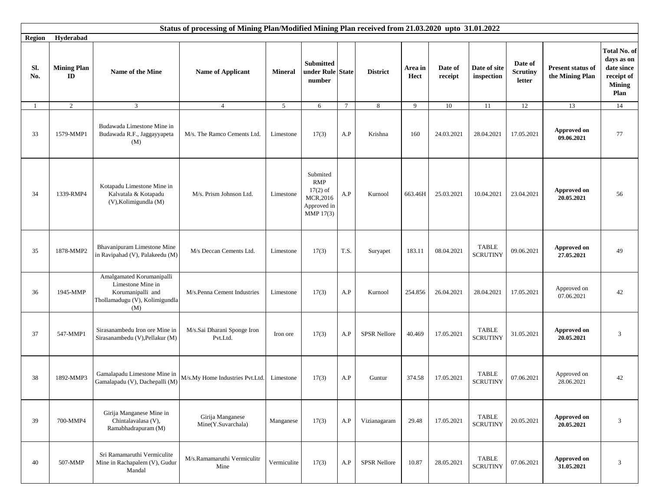|            | Status of processing of Mining Plan/Modified Mining Plan received from 21.03.2020 upto 31.01.2022 |                                                                                                              |                                         |                 |                                                                              |                 |                     |                 |                    |                                 |                                      |                                      |                                                                                 |
|------------|---------------------------------------------------------------------------------------------------|--------------------------------------------------------------------------------------------------------------|-----------------------------------------|-----------------|------------------------------------------------------------------------------|-----------------|---------------------|-----------------|--------------------|---------------------------------|--------------------------------------|--------------------------------------|---------------------------------------------------------------------------------|
| Region     | Hyderabad                                                                                         |                                                                                                              |                                         |                 |                                                                              |                 |                     |                 |                    |                                 |                                      |                                      |                                                                                 |
| Sl.<br>No. | <b>Mining Plan</b><br>ID                                                                          | Name of the Mine                                                                                             | <b>Name of Applicant</b>                | <b>Mineral</b>  | <b>Submitted</b><br>under Rule State<br>number                               |                 | <b>District</b>     | Area in<br>Hect | Date of<br>receipt | Date of site<br>inspection      | Date of<br><b>Scrutiny</b><br>letter | Present status of<br>the Mining Plan | Total No. of<br>days as on<br>date since<br>receipt of<br><b>Mining</b><br>Plan |
| 1          | $\overline{2}$                                                                                    | 3                                                                                                            | $\overline{4}$                          | $5\overline{)}$ | 6                                                                            | $7\phantom{.0}$ | 8                   | 9               | 10                 | 11                              | 12                                   | 13                                   | 14                                                                              |
| 33         | 1579-MMP1                                                                                         | Budawada Limestone Mine in<br>Budawada R.F., Jaggayyapeta<br>(M)                                             | M/s. The Ramco Cements Ltd.             | Limestone       | 17(3)                                                                        | A.P             | Krishna             | 160             | 24.03.2021         | 28.04.2021                      | 17.05.2021                           | Approved on<br>09.06.2021            | 77                                                                              |
| 34         | 1339-RMP4                                                                                         | Kotapadu Limestone Mine in<br>Kalvatala & Kotapadu<br>(V), Kolimigundla (M)                                  | M/s. Prism Johnson Ltd.                 | Limestone       | Submited<br><b>RMP</b><br>$17(2)$ of<br>MCR,2016<br>Approved in<br>MMP 17(3) | A.P             | Kurnool             | 663.46H         | 25.03.2021         | 10.04.2021                      | 23.04.2021                           | <b>Approved on</b><br>20.05.2021     | 56                                                                              |
| 35         | 1878-MMP2                                                                                         | Bhavanipuram Limestone Mine<br>in Ravipahad (V), Palakeedu (M)                                               | M/s Deccan Cements Ltd.                 | Limestone       | 17(3)                                                                        | T.S.            | Suryapet            | 183.11          | 08.04.2021         | <b>TABLE</b><br><b>SCRUTINY</b> | 09.06.2021                           | Approved on<br>27.05.2021            | 49                                                                              |
| 36         | 1945-MMP                                                                                          | Amalgamated Korumanipalli<br>Limestone Mine in<br>Korumanipalli and<br>Thollamadugu (V), Kolimigundla<br>(M) | M/s.Penna Cement Industries             | Limestone       | 17(3)                                                                        | A.P             | Kurnool             | 254.856         | 26.04.2021         | 28.04.2021                      | 17.05.2021                           | Approved on<br>07.06.2021            | 42                                                                              |
| 37         | 547-MMP1                                                                                          | Sirasanambedu Iron ore Mine in<br>Sirasanambedu (V), Pellakur (M)                                            | M/s.Sai Dharani Sponge Iron<br>Pvt.Ltd. | Iron ore        | 17(3)                                                                        | A.P             | <b>SPSR Nellore</b> | 40.469          | 17.05.2021         | <b>TABLE</b><br><b>SCRUTINY</b> | 31.05.2021                           | <b>Approved on</b><br>20.05.2021     | 3                                                                               |
| 38         | 1892-MMP3                                                                                         | Gamalapadu Limestone Mine in<br>Gamalapadu (V), Dachepalli (M)                                               | M/s.My Home Industries Pvt.Ltd.         | Limestone       | 17(3)                                                                        | A.P             | Guntur              | 374.58          | 17.05.2021         | <b>TABLE</b><br><b>SCRUTINY</b> | 07.06.2021                           | Approved on<br>28.06.2021            | 42                                                                              |
| 39         | 700-MMP4                                                                                          | Girija Manganese Mine in<br>Chintalavalasa (V),<br>Ramabhadrapuram (M)                                       | Girija Manganese<br>Mine(Y.Suvarchala)  | Manganese       | 17(3)                                                                        | A.P             | Vizianagaram        | 29.48           | 17.05.2021         | <b>TABLE</b><br><b>SCRUTINY</b> | 20.05.2021                           | Approved on<br>20.05.2021            | 3                                                                               |
| 40         | 507-MMP                                                                                           | Sri Ramamaruthi Vermiculite<br>Mine in Rachapalem (V), Gudur<br>Mandal                                       | M/s.Ramamaruthi Vermiculitr<br>Mine     | Vermiculite     | 17(3)                                                                        | A.P             | <b>SPSR Nellore</b> | 10.87           | 28.05.2021         | <b>TABLE</b><br><b>SCRUTINY</b> | 07.06.2021                           | <b>Approved on</b><br>31.05.2021     | 3                                                                               |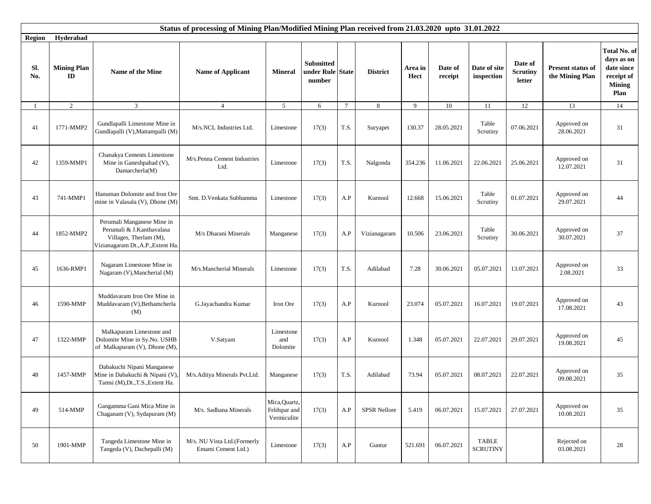|               |                          |                                                                                                                        | Status of processing of Mining Plan/Modified Mining Plan received from 21.03.2020 upto 31.01.2022 |                                              |                                                |                 |                     |                 |                    |                                 |                                      |                                             |                                                                                 |
|---------------|--------------------------|------------------------------------------------------------------------------------------------------------------------|---------------------------------------------------------------------------------------------------|----------------------------------------------|------------------------------------------------|-----------------|---------------------|-----------------|--------------------|---------------------------------|--------------------------------------|---------------------------------------------|---------------------------------------------------------------------------------|
| <b>Region</b> | Hyderabad                |                                                                                                                        |                                                                                                   |                                              |                                                |                 |                     |                 |                    |                                 |                                      |                                             |                                                                                 |
| Sl.<br>No.    | <b>Mining Plan</b><br>ID | Name of the Mine                                                                                                       | <b>Name of Applicant</b>                                                                          | <b>Mineral</b>                               | <b>Submitted</b><br>under Rule State<br>number |                 | <b>District</b>     | Area in<br>Hect | Date of<br>receipt | Date of site<br>inspection      | Date of<br><b>Scrutiny</b><br>letter | <b>Present status of</b><br>the Mining Plan | Total No. of<br>days as on<br>date since<br>receipt of<br><b>Mining</b><br>Plan |
| -1            | $\overline{2}$           | 3                                                                                                                      | $\overline{4}$                                                                                    | 5                                            | 6                                              | $7\phantom{.0}$ | 8                   | 9               | 10                 | 11                              | 12                                   | 13                                          | 14                                                                              |
| 41            | 1771-MMP2                | Gundlapalli Limestone Mine in<br>Gundlapalli (V), Mattampalli (M)                                                      | M/s.NCL Industries Ltd.                                                                           | Limestone                                    | 17(3)                                          | T.S.            | Suryapet            | 130.37          | 28.05.2021         | Table<br>Scrutiny               | 07.06.2021                           | Approved on<br>28.06.2021                   | 31                                                                              |
| 42            | 1359-MMP1                | Chanakya Cements Limestone<br>Mine in Ganeshpahad (V),<br>Damarcherla(M)                                               | M/s.Penna Cement Industries<br>Ltd.                                                               | Limestone                                    | 17(3)                                          | T.S.            | Nalgonda            | 354.236         | 11.06.2021         | 22.06.2021                      | 25.06.2021                           | Approved on<br>12.07.2021                   | 31                                                                              |
| 43            | 741-MMP1                 | Hanuman Dolomite and Iron Ore<br>mine in Valasala (V), Dhone (M)                                                       | Smt. D.Venkata Subbamma                                                                           | Limestone                                    | 17(3)                                          | A.P             | Kurnool             | 12.668          | 15.06.2021         | Table<br>Scrutiny               | 01.07.2021                           | Approved on<br>29.07.2021                   | 44                                                                              |
| 44            | 1852-MMP2                | Perumali Manganese Mine in<br>Perumali & J.Kanthavalasa<br>Villages, Therlam (M),<br>Vizianagaram Dt., A.P., Extent Ha | M/s Dharani Minerals                                                                              | Manganese                                    | 17(3)                                          | A.P             | Vizianagaram        | 10.506          | 23.06.2021         | Table<br>Scrutiny               | 30.06.2021                           | Approved on<br>30.07.2021                   | 37                                                                              |
| 45            | 1636-RMP1                | Nagaram Limestone Mine in<br>Nagaram (V), Mancherial (M)                                                               | M/s.Mancherial Minerals                                                                           | Limestone                                    | 17(3)                                          | T.S.            | Adilabad            | 7.28            | 30.06.2021         | 05.07.2021                      | 13.07.2021                           | Approved on<br>2.08.2021                    | 33                                                                              |
| 46            | 1590-MMP                 | Muddavaram Iron Ore Mine in<br>Muddavaram (V), Bethamcherla<br>(M)                                                     | G.Jayachandra Kumar                                                                               | Iron Ore                                     | 17(3)                                          | A.P             | Kurnool             | 23.074          | 05.07.2021         | 16.07.2021                      | 19.07.2021                           | Approved on<br>17.08.2021                   | 43                                                                              |
| 47            | 1322-MMP                 | Malkapuram Limestone and<br>Dolomite Mine in Sy.No. USHB<br>of Malkapuram (V), Dhone (M),                              | V.Satyam                                                                                          | Limestone<br>and<br>Dolomite                 | 17(3)                                          | A.P             | Kurnool             | 1.348           | 05.07.2021         | 22.07.2021                      | 29.07.2021                           | Approved on<br>19.08.2021                   | 45                                                                              |
| 48            | 1457-MMP                 | Dabakuchi Nipani Manganese<br>Mine in Dabakuchi & Nipani (V)<br>Tamsi (M), Dt., T.S., Extent Ha.                       | M/s.Aditya Minerals Pvt.Ltd.                                                                      | Manganese                                    | 17(3)                                          | T.S.            | Adilabad            | 73.94           | 05.07.2021         | 08.07.2021                      | 22.07.2021                           | Approved on<br>09.08.2021                   | 35                                                                              |
| 49            | 514-MMP                  | Gangamma Gani Mica Mine in<br>Chaganam (V), Sydapuram (M)                                                              | M/s. Sadhana Minerals                                                                             | Mica, Quartz,<br>Feldspar and<br>Vermiculite | 17(3)                                          | A.P             | <b>SPSR Nellore</b> | 5.419           | 06.07.2021         | 15.07.2021                      | 27.07.2021                           | Approved on<br>10.08.2021                   | 35                                                                              |
| 50            | 1901-MMP                 | Tangeda Limestone Mine in<br>Tangeda (V), Dachepalli (M)                                                               | M/s. NU Vista Ltd.(Formerly<br>Emami Cement Ltd.)                                                 | $Limes \ to ne$                              | 17(3)                                          | A.P             | Guntur              | 521.691         | 06.07.2021         | <b>TABLE</b><br><b>SCRUTINY</b> |                                      | Rejected on<br>03.08.2021                   | 28                                                                              |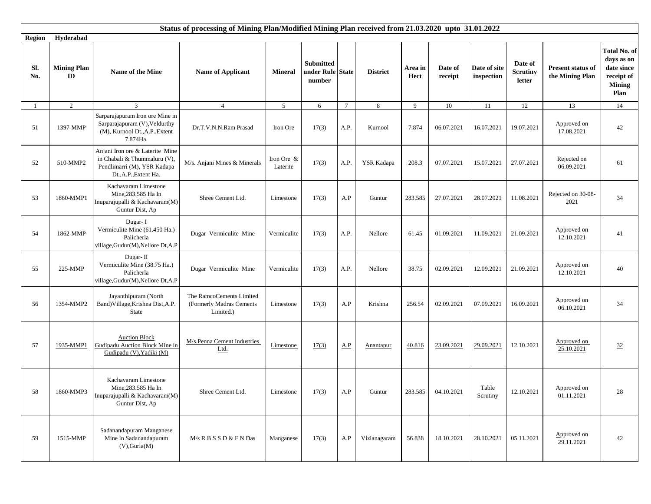|               |                                     |                                                                                                                         | Status of processing of Mining Plan/Modified Mining Plan received from 21.03.2020 upto 31.01.2022 |                        |                                                |                 |                 |                 |                    |                            |                                      |                                             |                                                                                        |
|---------------|-------------------------------------|-------------------------------------------------------------------------------------------------------------------------|---------------------------------------------------------------------------------------------------|------------------------|------------------------------------------------|-----------------|-----------------|-----------------|--------------------|----------------------------|--------------------------------------|---------------------------------------------|----------------------------------------------------------------------------------------|
| <b>Region</b> | Hyderabad                           |                                                                                                                         |                                                                                                   |                        |                                                |                 |                 |                 |                    |                            |                                      |                                             |                                                                                        |
| Sl.<br>No.    | <b>Mining Plan</b><br>$\mathbf{ID}$ | Name of the Mine                                                                                                        | <b>Name of Applicant</b>                                                                          | <b>Mineral</b>         | <b>Submitted</b><br>under Rule State<br>number |                 | <b>District</b> | Area in<br>Hect | Date of<br>receipt | Date of site<br>inspection | Date of<br><b>Scrutiny</b><br>letter | <b>Present status of</b><br>the Mining Plan | <b>Total No. of</b><br>days as on<br>date since<br>receipt of<br><b>Mining</b><br>Plan |
| -1            | $\overline{2}$                      | 3                                                                                                                       | $\overline{4}$                                                                                    | 5                      | 6                                              | $7\phantom{.0}$ | 8               | 9               | 10                 | 11                         | 12                                   | 13                                          | 14                                                                                     |
| 51            | 1397-MMP                            | Sarparajapuram Iron ore Mine in<br>Sarparajapuram (V), Veldurthy<br>(M), Kurnool Dt., A.P., Extent<br>7.874Ha.          | Dr.T.V.N.N.Ram Prasad                                                                             | Iron Ore               | 17(3)                                          | A.P.            | Kurnool         | 7.874           | 06.07.2021         | 16.07.2021                 | 19.07.2021                           | Approved on<br>17.08.2021                   | 42                                                                                     |
| 52            | 510-MMP2                            | Anjani Iron ore & Laterite Mine<br>in Chabali & Thummaluru (V),<br>Pendlimarri (M), YSR Kadapa<br>Dt., A.P., Extent Ha. | M/s. Anjani Mines & Minerals                                                                      | Iron Ore &<br>Laterite | 17(3)                                          | A.P.            | YSR Kadapa      | 208.3           | 07.07.2021         | 15.07.2021                 | 27.07.2021                           | Rejected on<br>06.09.2021                   | 61                                                                                     |
| 53            | 1860-MMP1                           | Kachavaram Limestone<br>Mine, 283.585 Ha In<br>Inuparajupalli & Kachavaram(M)<br>Guntur Dist, Ap                        | Shree Cement Ltd.                                                                                 | Limestone              | 17(3)                                          | A.P             | Guntur          | 283.585         | 27.07.2021         | 28.07.2021                 | 11.08.2021                           | Rejected on 30-08-<br>2021                  | 34                                                                                     |
| 54            | 1862-MMP                            | Dugar-I<br>Vermiculite Mine (61.450 Ha.)<br>Palicherla<br>village, Gudur(M), Nellore Dt, A.P                            | Dugar Vermiculite Mine                                                                            | Vermiculite            | 17(3)                                          | A.P.            | Nellore         | 61.45           | 01.09.2021         | 11.09.2021                 | 21.09.2021                           | Approved on<br>12.10.2021                   | 41                                                                                     |
| 55            | 225-MMP                             | Dugar-II<br>Vermiculite Mine (38.75 Ha.)<br>Palicherla<br>village, Gudur(M), Nellore Dt, A.P                            | Dugar Vermiculite Mine                                                                            | Vermiculite            | 17(3)                                          | A.P.            | Nellore         | 38.75           | 02.09.2021         | 12.09.2021                 | 21.09.2021                           | Approved on<br>12.10.2021                   | 40                                                                                     |
| 56            | 1354-MMP2                           | Jayanthipuram (North<br>Band) Village, Krishna Dist, A.P.<br><b>State</b>                                               | The RamcoCements Limited<br>(Formerly Madras Cements<br>Limited.)                                 | Limestone              | 17(3)                                          | A.P             | Krishna         | 256.54          | 02.09.2021         | 07.09.2021                 | 16.09.2021                           | Approved on<br>06.10.2021                   | 34                                                                                     |
| 57            | 1935-MMP1                           | <b>Auction Block</b><br><b>Gudipadu Auction Block Mine in</b><br>Gudipadu (V), Yadiki (M)                               | M/s.Penna Cement Industries<br>Ltd.                                                               | Limestone              | 17(3)                                          | A.P             | Anantapur       | 40.816          | 23.09.2021         | 29.09.2021                 | 12.10.2021                           | Approved on<br>25.10.2021                   | 32                                                                                     |
| 58            | 1860-MMP3                           | Kachavaram Limestone<br>Mine, 283.585 Ha In<br>Inuparajupalli & Kachavaram(M)<br>Guntur Dist, Ap                        | Shree Cement Ltd.                                                                                 | Limestone              | 17(3)                                          | A.P             | Guntur          |                 | 283.585 04.10.2021 | Table<br>Scrutiny          | 12.10.2021                           | Approved on<br>01.11.2021                   | 28                                                                                     |
| 59            | 1515-MMP                            | Sadanandapuram Manganese<br>Mine in Sadanandapuram<br>$(V)$ , Gurla $(M)$                                               | $M/s$ R B S S D & F N Das                                                                         | Manganese              | 17(3)                                          | A.P             | Vizianagaram    | 56.838          | 18.10.2021         | 28.10.2021                 | 05.11.2021                           | Approved on<br>29.11.2021                   | 42                                                                                     |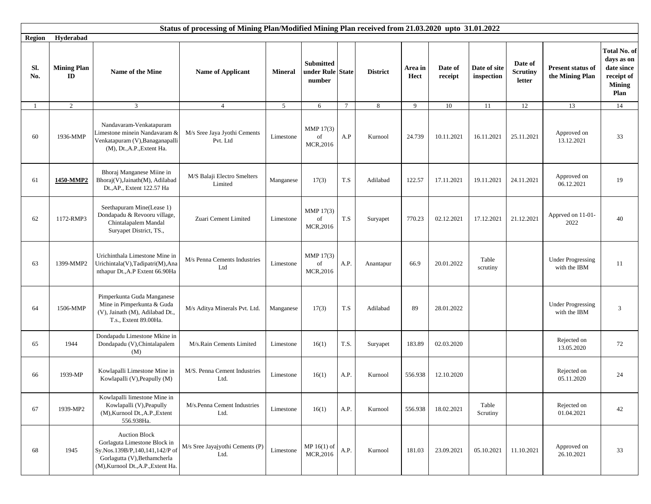|               |                                     |                                                                                                                                                              | Status of processing of Mining Plan/Modified Mining Plan received from 21.03.2020 upto 31.01.2022 |                |                                                |                         |                 |                 |                    |                            |                                      |                                          |                                                                                        |
|---------------|-------------------------------------|--------------------------------------------------------------------------------------------------------------------------------------------------------------|---------------------------------------------------------------------------------------------------|----------------|------------------------------------------------|-------------------------|-----------------|-----------------|--------------------|----------------------------|--------------------------------------|------------------------------------------|----------------------------------------------------------------------------------------|
| <b>Region</b> | Hyderabad                           |                                                                                                                                                              |                                                                                                   |                |                                                |                         |                 |                 |                    |                            |                                      |                                          |                                                                                        |
| Sl.<br>No.    | <b>Mining Plan</b><br>$\mathbf{ID}$ | Name of the Mine                                                                                                                                             | <b>Name of Applicant</b>                                                                          | <b>Mineral</b> | <b>Submitted</b><br>under Rule State<br>number |                         | <b>District</b> | Area in<br>Hect | Date of<br>receipt | Date of site<br>inspection | Date of<br><b>Scrutiny</b><br>letter | Present status of<br>the Mining Plan     | <b>Total No. of</b><br>days as on<br>date since<br>receipt of<br><b>Mining</b><br>Plan |
| -1            | $\overline{2}$                      | 3                                                                                                                                                            | $\overline{4}$                                                                                    | 5 <sup>5</sup> | 6                                              | $7\phantom{.0}$         | 8               | 9               | 10                 | 11                         | 12                                   | 13                                       | 14                                                                                     |
| 60            | 1936-MMP                            | Nandavaram-Venkatapuram<br>imestone minein Nandavaram &<br>Venkatapuram (V), Banaganapalli<br>(M), Dt., A.P., Extent Ha.                                     | M/s Sree Jaya Jyothi Cements<br>Pvt. Ltd                                                          | Limestone      | MMP 17(3)<br>of<br>MCR, 2016                   | A.P                     | Kurnool         | 24.739          | 10.11.2021         | 16.11.2021                 | 25.11.2021                           | Approved on<br>13.12.2021                | 33                                                                                     |
| 61            | 1450-MMP2                           | Bhoraj Manganese Miine in<br>Bhoraj(V), Jainath(M), Adilabad<br>Dt., AP., Extent 122.57 Ha                                                                   | M/S Balaji Electro Smelters<br>Limited                                                            | Manganese      | 17(3)                                          | T.S                     | Adilabad        | 122.57          | 17.11.2021         | 19.11.2021                 | 24.11.2021                           | Approved on<br>06.12.2021                | 19                                                                                     |
| 62            | 1172-RMP3                           | Seethapuram Mine(Lease 1)<br>Dondapadu & Revooru village,<br>Chintalapalem Mandal<br>Suryapet District, TS.,                                                 | Zuari Cement Limited                                                                              | Limestone      | MMP 17(3)<br>of<br>MCR, 2016                   | $\mathrm{T}.\mathrm{S}$ | Suryapet        | 770.23          | 02.12.2021         | 17.12.2021                 | 21.12.2021                           | Apprved on 11-01-<br>2022                | 40                                                                                     |
| 63            | 1399-MMP2                           | Urichinthala Limestone Mine in<br>Urichintala(V),Tadipatri(M),Ana<br>nthapur Dt., A.P Extent 66.90Ha                                                         | M/s Penna Cements Industries<br>Ltd                                                               | Limestone      | MMP 17(3)<br>of<br>MCR, 2016                   | A.P.                    | Anantapur       | 66.9            | 20.01.2022         | Table<br>scrutiny          |                                      | <b>Under Progressing</b><br>with the IBM | 11                                                                                     |
| 64            | 1506-MMP                            | Pimperkunta Guda Manganese<br>Mine in Pimperkunta & Guda<br>(V), Jainath (M), Adilabad Dt.,<br>T.s., Extent 89.00Ha.                                         | M/s Aditya Minerals Pvt. Ltd.                                                                     | Manganese      | 17(3)                                          | T.S                     | Adilabad        | 89              | 28.01.2022         |                            |                                      | <b>Under Progressing</b><br>with the IBM | 3                                                                                      |
| 65            | 1944                                | Dondapadu Limestone Mkine in<br>Dondapadu (V), Chintalapalem<br>(M)                                                                                          | M/s.Rain Cements Limited                                                                          | Limestone      | 16(1)                                          | T.S.                    | Suryapet        | 183.89          | 02.03.2020         |                            |                                      | Rejected on<br>13.05.2020                | 72                                                                                     |
| 66            | 1939-MP                             | Kowlapalli Limestone Mine in<br>Kowlapalli (V), Peapully (M)                                                                                                 | M/S. Penna Cement Industries<br>Ltd.                                                              | Limestone      | 16(1)                                          | A.P.                    | Kurnool         | 556.938         | 12.10.2020         |                            |                                      | Rejected on<br>05.11.2020                | 24                                                                                     |
| 67            | 1939-MP2                            | Kowlapalli limestone Mine in<br>Kowlapalli (V), Peapully<br>(M), Kurnool Dt., A.P., Extent<br>556.938Ha.                                                     | M/s.Penna Cement Industries<br>Ltd.                                                               | Limestone      | 16(1)                                          | A.P.                    | Kurnool         | 556.938         | 18.02.2021         | Table<br>Scrutiny          |                                      | Rejected on<br>01.04.2021                | 42                                                                                     |
| 68            | 1945                                | <b>Auction Block</b><br>Gorlaguta Limestone Block in<br>Sy.Nos.139B/P,140,141,142/P of<br>Gorlagutta (V), Bethamcherla<br>(M), Kurnool Dt., A.P., Extent Ha. | M/s Sree Jayajyothi Cements (P)<br>Ltd.                                                           | $\rm Limes$    | MP $16(1)$ of<br>MCR,2016                      | A.P.                    | Kurnool         | 181.03          | 23.09.2021         | 05.10.2021                 | 11.10.2021                           | Approved on<br>26.10.2021                | 33                                                                                     |